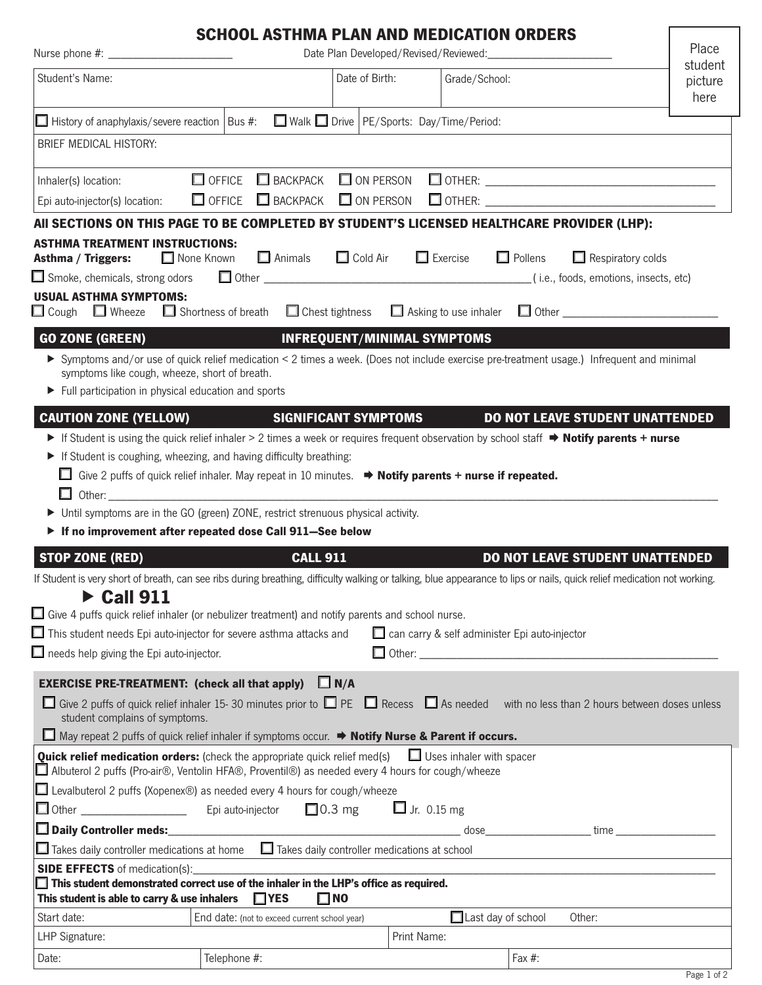|                                                                                                                                                                                                                                | <b>SCHOOL ASTHMA PLAN AND MEDICATION ORDERS</b> |                                                               |                                 |                                                                                                                                                                          | Place                      |  |
|--------------------------------------------------------------------------------------------------------------------------------------------------------------------------------------------------------------------------------|-------------------------------------------------|---------------------------------------------------------------|---------------------------------|--------------------------------------------------------------------------------------------------------------------------------------------------------------------------|----------------------------|--|
| Student's Name:                                                                                                                                                                                                                |                                                 | Date of Birth:                                                | Grade/School:                   |                                                                                                                                                                          | student<br>picture<br>here |  |
| $\Box$ History of anaphylaxis/severe reaction   Bus #: $\Box$ Walk $\Box$ Drive   PE/Sports: Day/Time/Period:                                                                                                                  |                                                 |                                                               |                                 |                                                                                                                                                                          |                            |  |
| <b>BRIEF MEDICAL HISTORY:</b>                                                                                                                                                                                                  |                                                 |                                                               |                                 |                                                                                                                                                                          |                            |  |
| $\Box$ OFFICE                                                                                                                                                                                                                  |                                                 |                                                               |                                 |                                                                                                                                                                          |                            |  |
| Inhaler(s) location:                                                                                                                                                                                                           |                                                 |                                                               |                                 | Epi auto-injector(s) location: CO OFFICE CO BACKPACK CO ON PERSON CO OTHER: CONDUCTER: CONSTRUCTION                                                                      |                            |  |
|                                                                                                                                                                                                                                |                                                 |                                                               |                                 | AII SECTIONS ON THIS PAGE TO BE COMPLETED BY STUDENT'S LICENSED HEALTHCARE PROVIDER (LHP):                                                                               |                            |  |
| <b>ASTHMA TREATMENT INSTRUCTIONS:</b>                                                                                                                                                                                          |                                                 |                                                               |                                 |                                                                                                                                                                          |                            |  |
| □ None Known<br>Asthma / Triggers:                                                                                                                                                                                             |                                                 | $\Box$ Animals $\Box$ Cold Air $\Box$ Exercise $\Box$ Pollens |                                 | $\Box$ Respiratory colds                                                                                                                                                 |                            |  |
|                                                                                                                                                                                                                                |                                                 |                                                               |                                 |                                                                                                                                                                          |                            |  |
| <b>USUAL ASTHMA SYMPTOMS:</b>                                                                                                                                                                                                  |                                                 |                                                               |                                 | $\Box$ Cough $\Box$ Wheeze $\Box$ Shortness of breath $\Box$ Chest tightness $\Box$ Asking to use inhaler $\Box$ Other                                                   |                            |  |
|                                                                                                                                                                                                                                |                                                 |                                                               |                                 |                                                                                                                                                                          |                            |  |
| <b>GO ZONE (GREEN)</b>                                                                                                                                                                                                         | <u> 1989 - Johann Stein, mars e</u>             | <b>INFREQUENT/MINIMAL SYMPTOMS</b>                            |                                 | > Symptoms and/or use of quick relief medication < 2 times a week. (Does not include exercise pre-treatment usage.) Infrequent and minimal                               |                            |  |
| symptoms like cough, wheeze, short of breath.                                                                                                                                                                                  |                                                 |                                                               |                                 |                                                                                                                                                                          |                            |  |
| $\blacktriangleright$ Full participation in physical education and sports                                                                                                                                                      |                                                 |                                                               |                                 |                                                                                                                                                                          |                            |  |
| <b>CAUTION ZONE (YELLOW)</b>                                                                                                                                                                                                   |                                                 | <b>SIGNIFICANT SYMPTOMS</b>                                   |                                 | <b>DO NOT LEAVE STUDENT UNATTENDED</b>                                                                                                                                   |                            |  |
|                                                                                                                                                                                                                                |                                                 |                                                               |                                 | If Student is using the quick relief inhaler > 2 times a week or requires frequent observation by school staff $\Rightarrow$ Notify parents + nurse                      |                            |  |
| If Student is coughing, wheezing, and having difficulty breathing:                                                                                                                                                             |                                                 |                                                               |                                 |                                                                                                                                                                          |                            |  |
| Give 2 puffs of quick relief inhaler. May repeat in 10 minutes. $\rightarrow$ Notify parents + nurse if repeated.                                                                                                              |                                                 |                                                               |                                 |                                                                                                                                                                          |                            |  |
| Other: when the contract of the contract of the contract of the contract of the contract of the contract of the contract of the contract of the contract of the contract of the contract of the contract of the contract of th |                                                 |                                                               |                                 |                                                                                                                                                                          |                            |  |
| Until symptoms are in the GO (green) ZONE, restrict strenuous physical activity.                                                                                                                                               |                                                 |                                                               |                                 |                                                                                                                                                                          |                            |  |
| If no improvement after repeated dose Call 911-See below                                                                                                                                                                       |                                                 |                                                               |                                 |                                                                                                                                                                          |                            |  |
| <b>STOP ZONE (RED)</b>                                                                                                                                                                                                         | <b>CALL 911</b>                                 |                                                               |                                 | <b>DO NOT LEAVE STUDENT UNATTENDED</b>                                                                                                                                   |                            |  |
|                                                                                                                                                                                                                                |                                                 |                                                               |                                 | If Student is very short of breath, can see ribs during breathing, difficulty walking or talking, blue appearance to lips or nails, quick relief medication not working. |                            |  |
| $\blacktriangleright$ Call 911<br>$\Box$ Give 4 puffs quick relief inhaler (or nebulizer treatment) and notify parents and school nurse.                                                                                       |                                                 |                                                               |                                 |                                                                                                                                                                          |                            |  |
| $\Box$ This student needs Epi auto-injector for severe asthma attacks and                                                                                                                                                      |                                                 |                                                               |                                 | can carry & self administer Epi auto-injector                                                                                                                            |                            |  |
| $\Box$ needs help giving the Epi auto-injector.                                                                                                                                                                                |                                                 |                                                               |                                 |                                                                                                                                                                          |                            |  |
|                                                                                                                                                                                                                                |                                                 |                                                               |                                 |                                                                                                                                                                          |                            |  |
| <b>EXERCISE PRE-TREATMENT:</b> (check all that apply)                                                                                                                                                                          |                                                 | $\Box N/A$                                                    |                                 |                                                                                                                                                                          |                            |  |
| student complains of symptoms.                                                                                                                                                                                                 |                                                 |                                                               |                                 | $\Box$ Give 2 puffs of quick relief inhaler 15-30 minutes prior to $\Box$ PE $\Box$ Recess $\Box$ As needed with no less than 2 hours between doses unless               |                            |  |
| $\Box$ May repeat 2 puffs of quick relief inhaler if symptoms occur. $\Rightarrow$ <b>Notify Nurse &amp; Parent if occurs.</b>                                                                                                 |                                                 |                                                               |                                 |                                                                                                                                                                          |                            |  |
| <b>Quick relief medication orders:</b> (check the appropriate quick relief med(s)<br>■ Albuterol 2 puffs (Pro-air®, Ventolin HFA®, Proventil®) as needed every 4 hours for cough/wheeze                                        |                                                 |                                                               | $\Box$ Uses inhaler with spacer |                                                                                                                                                                          |                            |  |
| $\Box$ Levalbuterol 2 puffs (Xopenex®) as needed every 4 hours for cough/wheeze                                                                                                                                                |                                                 |                                                               |                                 |                                                                                                                                                                          |                            |  |
|                                                                                                                                                                                                                                |                                                 |                                                               | $\Box$ Jr. 0.15 mg              |                                                                                                                                                                          |                            |  |
|                                                                                                                                                                                                                                |                                                 |                                                               |                                 | dose time time                                                                                                                                                           |                            |  |
| $\Box$ Takes daily controller medications at home $\Box$ Takes daily controller medications at school                                                                                                                          |                                                 |                                                               |                                 |                                                                                                                                                                          |                            |  |
| <b>SIDE EFFECTS</b> of medication(s):                                                                                                                                                                                          |                                                 |                                                               |                                 |                                                                                                                                                                          |                            |  |
| $\Box$ This student demonstrated correct use of the inhaler in the LHP's office as required.<br>This student is able to carry & use inhalers                                                                                   | $\Box$ YES                                      | $\square$ NO                                                  |                                 |                                                                                                                                                                          |                            |  |
| Start date:                                                                                                                                                                                                                    | End date: (not to exceed current school year)   |                                                               |                                 | $\Box$ Last day of school<br>Other:                                                                                                                                      |                            |  |
| LHP Signature:                                                                                                                                                                                                                 |                                                 |                                                               | Print Name:                     |                                                                                                                                                                          |                            |  |

Date:  $|\text{Telephone }\#$ :  $|\text{Fa} \#$ :